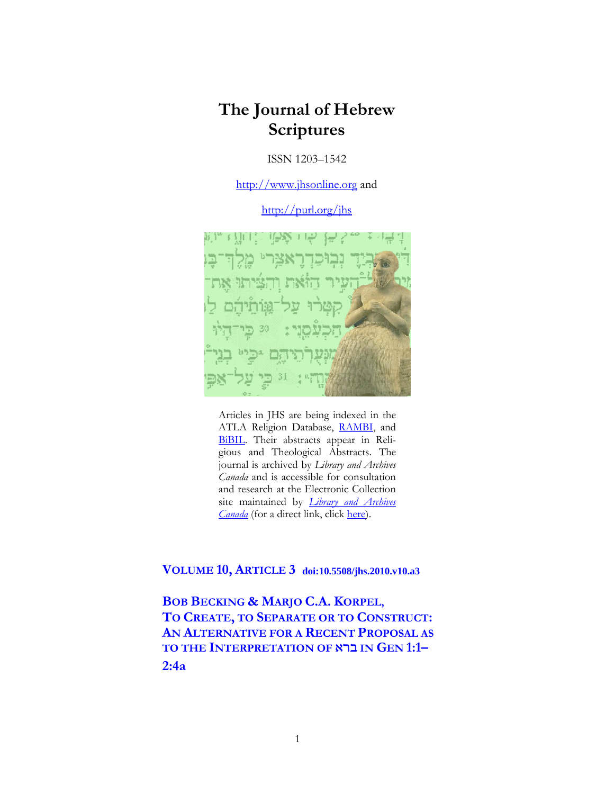# **The Journal of Hebrew Scriptures**

ISSN 1203–1542

[http://www.jhsonline.org](http://www.jhsonline.org/) and

<http://purl.org/jhs>



Articles in JHS are being indexed in the ATLA Religion Database, [RAMBI,](http://jnul.huji.ac.il/rambi/) and [BiBIL.](https://wwwdbunil.unil.ch/bibil/bi/en/bibilhome.html) Their abstracts appear in Religious and Theological Abstracts. The journal is archived by *Library and Archives Canada* and is accessible for consultation and research at the Electronic Collection site maintained by *[Library and Archives](http://collectionscanada.ca/electroniccollection/003008-200-e.html)  [Canada](http://collectionscanada.ca/electroniccollection/003008-200-e.html)* (for a direct link, click [here\)](http://epe.lac-bac.gc.ca/100/201/300/journal_hebrew/index.html).

**VOLUME 10, ARTICLE 3 doi:10.5508/jhs.2010.v10.a3**

**BOB BECKING & MARJO C.A. KORPEL, TO CREATE, TO SEPARATE OR TO CONSTRUCT: AN ALTERNATIVE FOR A RECENT PROPOSAL AS TO THE INTERPRETATION OF** : **IN GEN 1:1– 2:4a**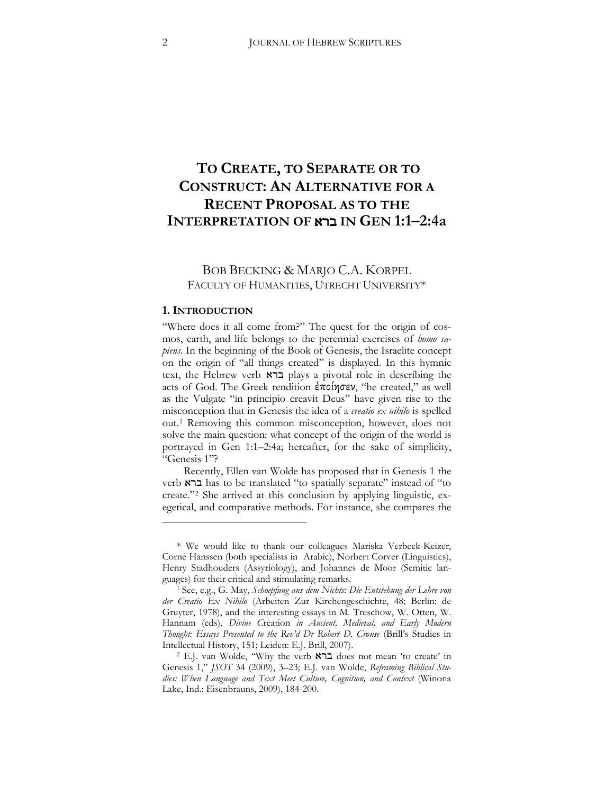## **TO CREATE, TO SEPARATE OR TO CONSTRUCT: AN ALTERNATIVE FOR A RECENT PROPOSAL AS TO THE INTERPRETATION OF** : **IN GEN 1:1–2:4a**

## BOB BECKING & MARJO C.A. KORPEL FACULTY OF HUMANITIES, UTRECHT UNIVERSITY\*

#### **1. INTRODUCTION**

 $\overline{a}$ 

"Where does it all come from?" The quest for the origin of cosmos, earth, and life belongs to the perennial exercises of *homo sapiens*. In the beginning of the Book of Genesis, the Israelite concept on the origin of "all things created" is displayed. In this hymnic text, the Hebrew verb **וברא** plays a pivotal role in describing the acts of God. The Greek rendition  $\epsilon \pi o(\eta \sigma \epsilon \nu)$ , "he created," as well as the Vulgate "in principio creavit Deus" have given rise to the misconception that in Genesis the idea of a *creatio ex nihilo* is spelled out.[1](#page-1-0) Removing this common misconception, however, does not solve the main question: what concept of the origin of the world is portrayed in Gen 1:1–2:4a; hereafter, for the sake of simplicity, "Genesis 1"?

Recently, Ellen van Wolde has proposed that in Genesis 1 the verb : has to be translated "to spatially separate" instead of "to create."[2](#page-1-1) She arrived at this conclusion by applying linguistic, exegetical, and comparative methods. For instance, she compares the

<span id="page-1-0"></span><sup>\*</sup> We would like to thank our colleagues Mariska Verbeek-Keizer, Corné Hanssen (both specialists in Arabic), Norbert Corver (Linguistics), Henry Stadhouders (Assyriology), and Johannes de Moor (Semitic languages) for their critical and stimulating remarks.

<sup>1</sup> See, e.g., G. May, *Schoepfung aus dem Nichts: Die Entstehung der Lehre von*  der Creatio Ex Nihilo (Arbeiten Zur Kirchengeschichte, 48; Berlin: de Gruyter, 1978), and the interesting essays in M. Treschow, W. Otten, W. Hannam (eds), *Divine C*reation *in Ancient, Medieval, and Early Modern Thought: Essays Presented to the Rev'd Dr Robert D. Crouse* (Brill's Studies in Intellectual History, 151; Leiden: E.J. Brill, 2007).

<span id="page-1-1"></span><sup>&</sup>lt;sup>2</sup> E.J. van Wolde, "Why the verb ברא does not mean 'to create' in Genesis 1," *JSOT* 34 (2009), 3-23; E.J. van Wolde, *Reframing Biblical Studies: When Language and Text Meet Culture, Cognition, and Context* (Winona Lake, Ind.: Eisenbrauns, 2009), 184-200.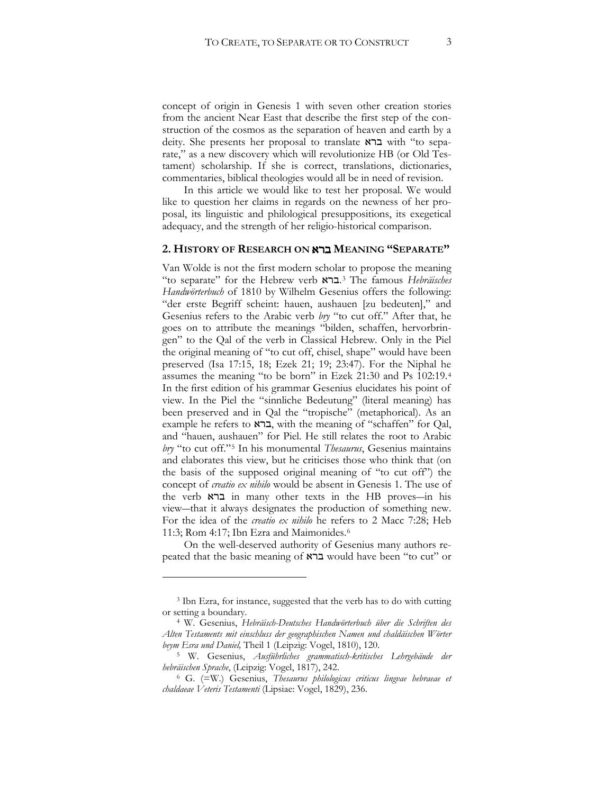concept of origin in Genesis 1 with seven other creation stories from the ancient Near East that describe the first step of the construction of the cosmos as the separation of heaven and earth by a deity. She presents her proposal to translate  $\kappa$ ברא with "to separate," as a new discovery which will revolutionize HB (or Old Testament) scholarship. If she is correct, translations, dictionaries, commentaries, biblical theologies would all be in need of revision.

In this article we would like to test her proposal. We would like to question her claims in regards on the newness of her proposal, its linguistic and philological presuppositions, its exegetical adequacy, and the strength of her religio-historical comparison.

#### **2. HISTORY OF RESEARCH ON** : **MEANING "SEPARATE"**

Van Wolde is not the first modern scholar to propose the meaning "to separate" for the Hebrew verb :.[3](#page-2-0) The famous *Hebräisches Handwörterbuch* of 1810 by Wilhelm Gesenius offers the following: "der erste Begriff scheint: hauen, aushauen [zu bedeuten]," and Gesenius refers to the Arabic verb *bry* "to cut off." After that, he goes on to attribute the meanings "bilden, schaffen, hervorbringen" to the Qal of the verb in Classical Hebrew. Only in the Piel the original meaning of "to cut off, chisel, shape" would have been preserved (Isa 17:15, 18; Ezek 21; 19; 23:47). For the Niphal he assumes the meaning "to be born" in Ezek 21:30 and Ps 102:19.[4](#page-2-1) In the first edition of his grammar Gesenius elucidates his point of view. In the Piel the "sinnliche Bedeutung" (literal meaning) has been preserved and in Qal the "tropische" (metaphorical). As an example he refers to  $x \rightarrow z$ , with the meaning of "schaffen" for Qal, and "hauen, aushauen" for Piel. He still relates the root to Arabic *bry* "to cut off."[5](#page-2-2) In his monumental *Thesaurus*, Gesenius maintains and elaborates this view, but he criticises those who think that (on the basis of the supposed original meaning of "to cut off") the concept of *creatio ex nihilo* would be absent in Genesis 1. The use of the verb  $\kappa$ ברא in many other texts in the HB proves—in his view—that it always designates the production of something new. For the idea of the *creatio ex nihilo* he refers to 2 Macc 7:28; Heb 11:3; Rom 4:17; Ibn Ezra and Maimonides.<sup>[6](#page-2-3)</sup>

On the well-deserved authority of Gesenius many authors repeated that the basic meaning of  $\overline{x}$  a would have been "to cut" or

<span id="page-2-0"></span><sup>3</sup> Ibn Ezra, for instance, suggested that the verb has to do with cutting or setting a boundary. 4 W. Gesenius, *Hebräisch-Deutsches Handwörterbuch über die Schriften des*

<span id="page-2-1"></span>*Alten Testaments mit einschluss der geographischen Namen und chaldäischen Wörter* 

<span id="page-2-2"></span>*beym Esra und Daniel,* Theil 1 (Leipzig: Vogel, 1810), 120. 5 W. Gesenius, *Ausführliches grammatisch-kritisches Lehrgebäude der hebräischen Sprache*, (Leipzig: Vogel, 1817), 242.

<span id="page-2-3"></span><sup>6</sup> G. (=W.) Gesenius, *Thesaurus philologicus criticus lingvae hebraeae et chaldaeae Veteris Testamenti* (Lipsiae: Vogel, 1829), 236.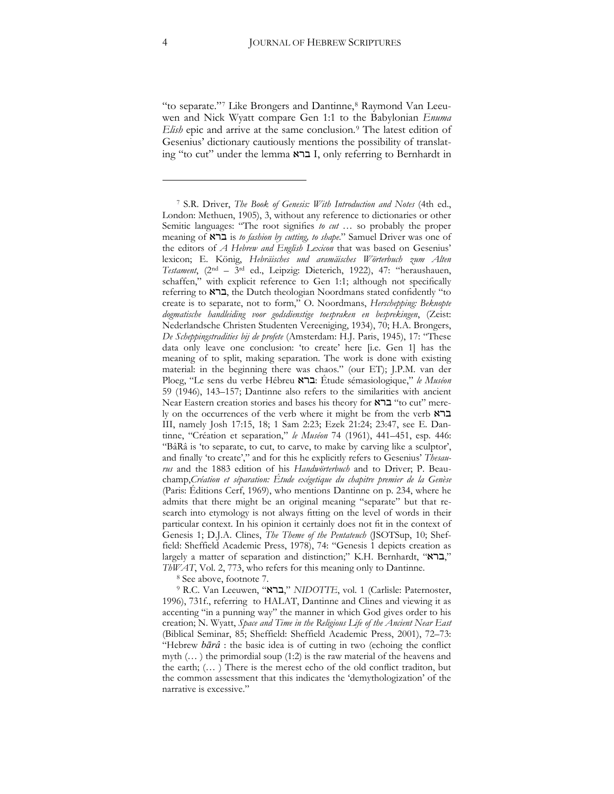"to separate."[7](#page-3-0) Like Brongers and Dantinne,[8](#page-3-1) Raymond Van Leeuwen and Nick Wyatt compare Gen 1:1 to the Babylonian *Enuma Elish* epic and arrive at the same conclusion.<sup>[9](#page-3-2)</sup> The latest edition of Gesenius' dictionary cautiously mentions the possibility of translating "to cut" under the lemma ברא I, only referring to Bernhardt in

<sup>8</sup> See above, footnote 7.

<span id="page-3-2"></span><span id="page-3-1"></span>9 R.C. Van Leeuwen, "ברא", *NIDOTTE*, vol. 1 (Carlisle: Paternoster, 1996), 731f., referring to HALAT, Dantinne and Clines and viewing it as accenting "in a punning way" the manner in which God gives order to his creatione N. Wyatt, *Space and Time in the Religious Life of the Ancient Near East* (Biblical Seminar, 85; Sheffield: Sheffield Academic Press, 2001), 72-73: "Hebrew  $b\bar{a}r\hat{a}$  : the basic idea is of cutting in two (echoing the conflict myth (… ) the primordial soup (1:2) is the raw material of the heavens and the earth;  $(...)$  There is the merest echo of the old conflict traditon, but the common assessment that this indicates the 'demythologization' of the narrative is excessive."

<span id="page-3-0"></span><sup>7</sup> S.R. Driver, *The Book of Genesis: With Introduction and Notes* (4th ed., London: Methuen, 1905), 3, without any reference to dictionaries or other Semitic languages: "The root signifies to cut ... so probably the proper meaning of : is *to fashion by cutting, to shape*." Samuel Driver was one of the editors of *A Hebrew and English Lexicon* that was based on Gesenius' lexicone E. König, *Hebräisches und aramäisches Wörterbuch zum Alten Testament*, (2nd – 3rd ed., Leipzig: Dieterich, 1922), 47: "heraushauen, schaffen," with explicit reference to Gen 1:1; although not specifically referring to  $\overline{x}$ , the Dutch theologian Noordmans stated confidently "to create is to separate, not to form," O. Noordmans, *Herschepping: Beknopte dogmatische handleiding voor godsdienstige toespraken en besprekingen*, (Zeist: Nederlandsche Christen Studenten Vereeniging, 1934), 70; H.A. Brongers, *De Scheppingstradities bij de profete* (Amsterdam: H.J. Paris, 1945), 17: "These data only leave one conclusion: 'to create' here [i.e. Gen 1] has the meaning of to split, making separation. The work is done with existing material: in the beginning there was chaos." (our ET); J.P.M. van der Ploeg, "Le sens du verbe Hébreu :: Étude sémasiologique," *le Muséon* 59 (1946), 143–157; Dantinne also refers to the similarities with ancient Near Eastern creation stories and bases his theory for **"x"** "to cut" merely on the occurrences of the verb where it might be from the verb : III, namely Josh 17:15, 18; 1 Sam 2:23; Ezek 21:24; 23:47, see E. Dantinne, "Création et separation," *le Muséon* 74 (1961), 441–451, esp. 446: "BâRâ is 'to separate, to cut, to carve, to make by carving like a sculptor', and finally 'to create'," and for this he explicitly refers to Gesenius' *Thesaurus* and the 1883 edition of his *Handwörterbuch* and to Driver; P. Beauchamp,*Création et séparation: Étude exégetique du chapitre premier de la Genèse* (Paris: Éditions Cerf, 1969), who mentions Dantinne on p. 234, where he admits that there might be an original meaning "separate" but that research into etymology is not always fitting on the level of words in their particular context. In his opinion it certainly does not fit in the context of Genesis 1; D.J.A. Clines, *The Theme of the Pentateuch* (JSOTSup, 10; Sheffield: Sheffield Academic Press, 1978), 74: "Genesis 1 depicts creation as largely a matter of separation and distinction;" K.H. Bernhardt, "ברא", *ThWAT*, Vol. 2, 773, who refers for this meaning only to Dantinne.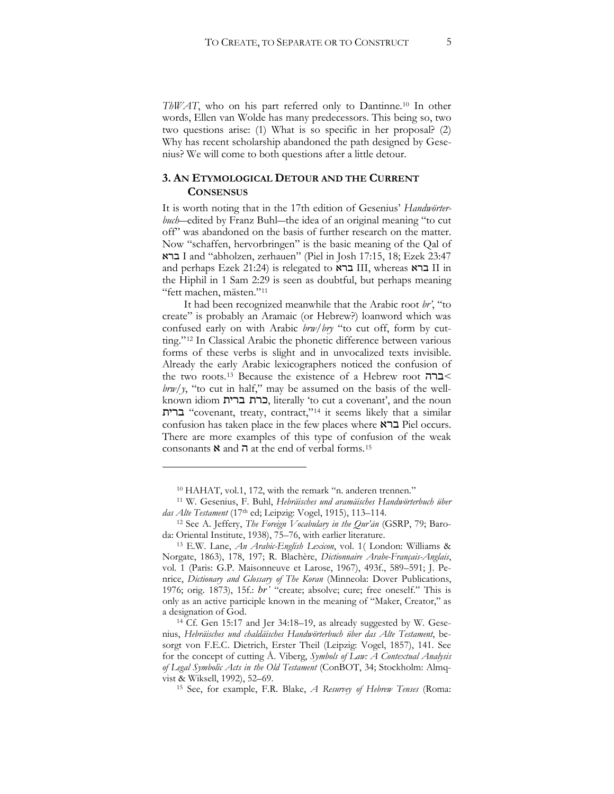*ThWAT*, who on his part referred only to Dantinne.[10](#page-4-0) In other words, Ellen van Wolde has many predecessors. This being so, two two questions arise: (1) What is so specific in her proposal? (2) Why has recent scholarship abandoned the path designed by Gesenius? We will come to both questions after a little detour.

### **3. AN ETYMOLOGICAL DETOUR AND THE CURRENT CONSENSUS**

It is worth noting that in the 17th edition of Gesenius' *Handwörterbuch*—edited by Franz Buhl—the idea of an original meaning "to cut off" was abandoned on the basis of further research on the matter. Now "schaffen, hervorbringen" is the basic meaning of the Qal of ברא I and "abholzen, zerhauen" (Piel in Josh 17:15, 18; Ezek 23:47 and perhaps Ezek 21:24) is relegated to  $\overline{III}$ , whereas  $\overline{II}$  II in the Hiphil in 1 Sam 2:29 is seen as doubtful, but perhaps meaning "fett machen, mästen."[11](#page-4-1)

It had been recognized meanwhile that the Arabic root *br'*, "to create" is probably an Aramaic (or Hebrew?) loanword which was confused early on with Arabic *brw/bry* "to cut off, form by cutting."[12](#page-4-2) In Classical Arabic the phonetic difference between various forms of these verbs is slight and in unvocalized texts invisible. Already the early Arabic lexicographers noticed the confusion of the two roots.[13](#page-4-3) Because the existence of a Hebrew root !:*<*  $\frac{b r w}{y}$ , "to cut in half," may be assumed on the basis of the wellknown idiom ברת ברית, literally 'to cut a covenant', and the noun =': "covenant, treaty, contract,"[14](#page-4-4) it seems likely that a similar confusion has taken place in the few places where  $\mathbb{R}$   $\Box$  Piel occurs. There are more examples of this type of confusion of the weak consonants  $\aleph$  and  $\overline{\eta}$  at the end of verbal forms.<sup>[15](#page-4-0)</sup>

<sup>10</sup> HAHAT, vol.1, 172, with the remark "n. anderen trennen."

<span id="page-4-1"></span><span id="page-4-0"></span><sup>11</sup> W. Gesenius, F. Buhl, *Hebräisches und aramäisches Handwörterbuch über das Alte Testament* (17<sup>th</sup> ed; Leipzig: Vogel, 1915), 113–114.

<span id="page-4-2"></span><sup>12</sup> See A. Jeffery, *The Foreign Vocabulary in the Qur'an* (GSRP, 79; Baroda: Oriental Institute, 1938), 75–76, with earlier literature.

<span id="page-4-3"></span><sup>13</sup> E.W. Lane, *An Arabic-English Lexicon*, vol. 1( London: Williams & Norgate, 1863), 178, 197; R. Blachère, *Dictionnaire Arabe-Français-Anglais*, vol. 1 (Paris: G.P. Maisonneuve et Larose, 1967), 493f., 589-591; J. Penrice, *Dictionary and Glossary of The Koran* (Minneola: Dover Publications, 1976; orig. 1873), 15f.: *br* "create; absolve; cure; free oneself." This is only as an active participle known in the meaning of "Maker, Creator," as a designation of God.

<span id="page-4-4"></span><sup>14</sup> Cf. Gen 15:17 and Jer 34:18–19, as already suggested by W. Gesenius, *Hebräisches und chaldäisches Handwörterbuch über das Alte Testament*, besorgt von F.E.C. Dietrich, Erster Theil (Leipzig: Vogel, 1857), 141. See for the concept of cutting Å. Viberg, *Symbols of Law: A Contextual Analysis of Legal Symbolic Acts in the Old Testament* (ConBOT, 34; Stockholm: Almqvist & Wiksell, 1992), 52–69.

<sup>15</sup> See, for example, F.R. Blake, *A Resurvey of Hebrew Tenses* (Roma: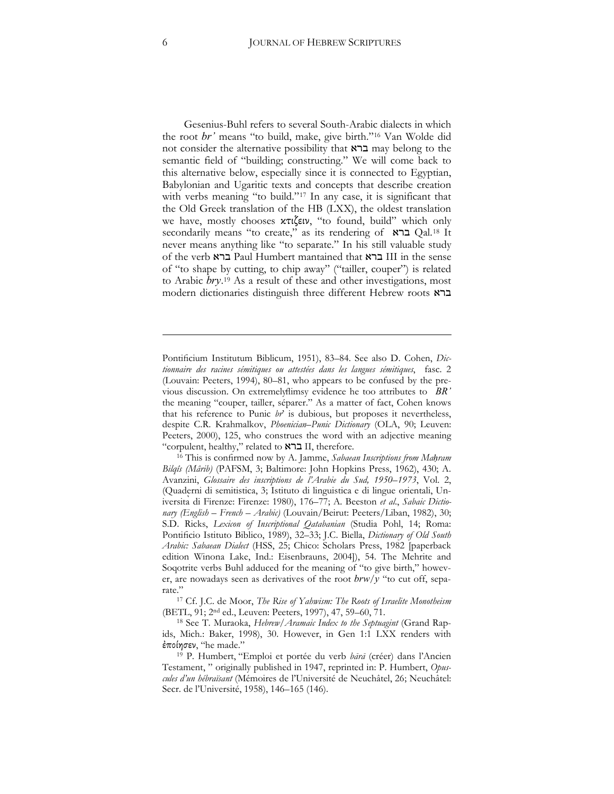Gesenius-Buhl refers to several South-Arabic dialects in which the root *br'* means "to build, make, give birth."<sup>[16](#page-5-0)</sup> Van Wolde did not consider the alternative possibility that ברא may belong to the semantic field of "building; constructing." We will come back to this alternative below, especially since it is connected to Egyptian, Babylonian and Ugaritic texts and concepts that describe creation with verbs meaning "to build."[17](#page-5-1) In any case, it is significant that the Old Greek translation of the HB (LXX), the oldest translation we have, mostly chooses κτιζειν, "to found, build" which only secondarily means "to create," as its rendering of  $\,$  ET Qal.<sup>[18](#page-5-2)</sup> It never means anything like "to separate." In his still valuable study of the verb ברא Paul Humbert mantained that  $\kappa$ ברא III in the sense of "to shape by cutting, to chip away" ("tailler, couper") is related to Arabic *bry*.<sup>[19](#page-5-3)</sup> As a result of these and other investigations, most modern dictionaries distinguish three different Hebrew roots :

Pontificium Institutum Biblicum, 1951), 83–84. See also D. Cohen, *Dictionnaire des racines sémitiques ou attestées dans les langues sémitiques*, fasc. 2 (Louvain: Peeters, 1994), 80–81, who appears to be confused by the previous discussion. On extremely flimay evidence he too attributes to *BR*<sup>3</sup> the meaning "couper, tailler, séparer." As a matter of fact, Cohen knows that his reference to Punic *br*' is dubious, but proposes it nevertheless, despite C.R. Krahmalkov, *Phoenician–Punic Dictionary* (OLA, 90; Leuven: Peeters, 2000), 125, who construes the word with an adjective meaning "corpulent, healthy," related to  $K$ ברא II, therefore.

<span id="page-5-0"></span><sup>16</sup> This is confirmed now by A. Jamme, *Sabaean Inscriptions from Mahram Bilgîs* (Mârib) (PAFSM, 3; Baltimore: John Hopkins Press, 1962), 430; A. Avanzini, *Glossaire des inscriptions de l'Arabie du Sud, 1950–1973*, Vol. 2, (Quaderni di semitistica, 3; Istituto di linguistica e di lingue orientali, Universita di Firenze: Firenze: 1980), 176–77; A. Beeston et al., Sabaic Dictio*nary (English – French – Arabic)* (Louvain/Beirut: Peeters/Liban, 1982), 30; S.D. Ricks, Lexicon of Inscriptional Qatabanian (Studia Pohl, 14; Roma: Pontificio Istituto Biblico, 1989), 32-33; J.C. Biella, *Dictionary* of Old South Arabic: Sabaean Dialect (HSS, 25; Chico: Scholars Press, 1982 [paperback edition Winona Lake, Ind.: Eisenbrauns, 2004]), 54. The Mehrite and Soqotrite verbs Buhl adduced for the meaning of "to give birth," however, are nowadays seen as derivatives of the root  $\frac{b\mu}{y}$  "to cut off, sepa-

<span id="page-5-1"></span>rate."17 Cf. J.C. de Moor, *The Rise of Yahwism: The Roots of Israelite Monotheism* (BETL, 91; 2<sup>nd</sup> ed., Leuven: Peeters, 1997), 47, 59–60, 71.

<span id="page-5-2"></span><sup>18</sup> See T. Muraoka, *Hebrew/Aramaic Index to the Septuagint* (Grand Rapids, Mich.: Baker, 1998), 30. However, in Gen 1:1 LXX renders with έποίησεν, "he made."

1

<span id="page-5-3"></span><sup>&</sup>lt;sup>19</sup> P. Humbert, "Emploi et portée du verb bārā (créer) dans l'Ancien Testament, " originally published in 1947, reprinted in: P. Humbert, *Opuscules d'un hébraïsant* (Mémoires de l'Université de Neuchâtel, 26; Neuchâtel: Secr. de l'Université, 1958), 146–165 (146).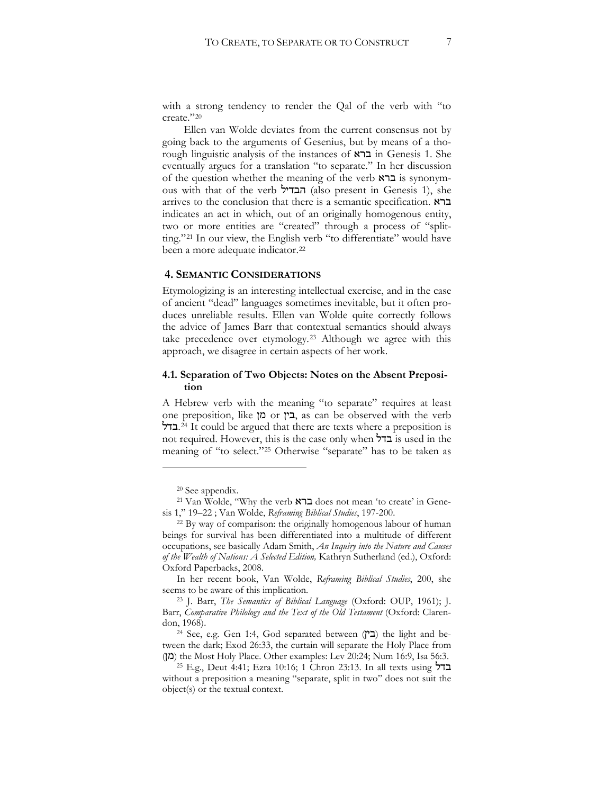with a strong tendency to render the Qal of the verb with "to create."[20](#page-6-0)

Ellen van Wolde deviates from the current consensus not by going back to the arguments of Gesenius, but by means of a thorough linguistic analysis of the instances of  $\kappa$ ברא in Genesis 1. She eventually argues for a translation "to separate." In her discussion of the question whether the meaning of the verb  $\kappa$ ברא is synonymous with that of the verb הבדיל (also present in Genesis 1), she arrives to the conclusion that there is a semantic specification.  $\kappa$ בר indicates an act in which, out of an originally homogenous entity, two or more entities are "created" through a process of "splitting."[21](#page-6-1) In our view, the English verb "to differentiate" would have been a more adequate indicator.<sup>[22](#page-6-2)</sup>

#### **4. SEMANTIC CONSIDERATIONS**

Etymologizing is an interesting intellectual exercise, and in the case of ancient "dead" languages sometimes inevitable, but it often produces unreliable results. Ellen van Wolde quite correctly follows the advice of James Barr that contextual semantics should always take precedence over etymology.[23](#page-6-3) Although we agree with this approach, we disagree in certain aspects of her work.

#### **4.1. Separation of Two Objects: Notes on the Absent Preposition**

A Hebrew verb with the meaning "to separate" requires at least one preposition, like  $\alpha$  or  $\alpha$ , as can be observed with the verb +[.24](#page-6-4) It could be argued that there are texts where a preposition is not required. However, this is the case only when  $\overline{b}$ בדל is used in the meaning of "to select."[25](#page-6-5) Otherwise "separate" has to be taken as

<sup>20</sup> See appendix.

<span id="page-6-1"></span><span id="page-6-0"></span><sup>&</sup>lt;sup>21</sup> Van Wolde, "Why the verb ברא does not mean 'to create' in Genesis 1," 19-22 ; Van Wolde, *Reframing Biblical Studies*, 197-200.

<span id="page-6-2"></span><sup>22</sup> By way of comparison: the originally homogenous labour of human beings for survival has been differentiated into a multitude of different occupations, see basically Adam Smith, *An Inquiry into the Nature and Causes of the Wealth of Nations: A Selected Edition,* Kathryn Sutherland (ed.), Oxford: Oxford Paperbacks, 2008.

In her recent book, Van Wolde, *Reframing Biblical Studies*, 200, she seems to be aware of this implication.

<span id="page-6-3"></span><sup>&</sup>lt;sup>23</sup> J. Barr, *The Semantics of Biblical Language* (Oxford: OUP, 1961); J. Barr, *Comparative Philology and the Text of the Old Testament* (Oxford: Clarendon, 1968).

<span id="page-6-4"></span><sup>&</sup>lt;sup>24</sup> See, e.g. Gen 1:4, God separated between  $(T \rightrightarrows)$  the light and between the dark; Exod 26:33, the curtain will separate the Holy Place from (מן) the Most Holy Place. Other examples: Lev 20:24; Num 16:9, Isa 56:3.

<span id="page-6-5"></span><sup>25</sup> E.g., Deut 4:41; Ezra 10:16; 1 Chron 23:13. In all texts using  $\pm$ without a preposition a meaning "separate, split in two" does not suit the object(s) or the textual context.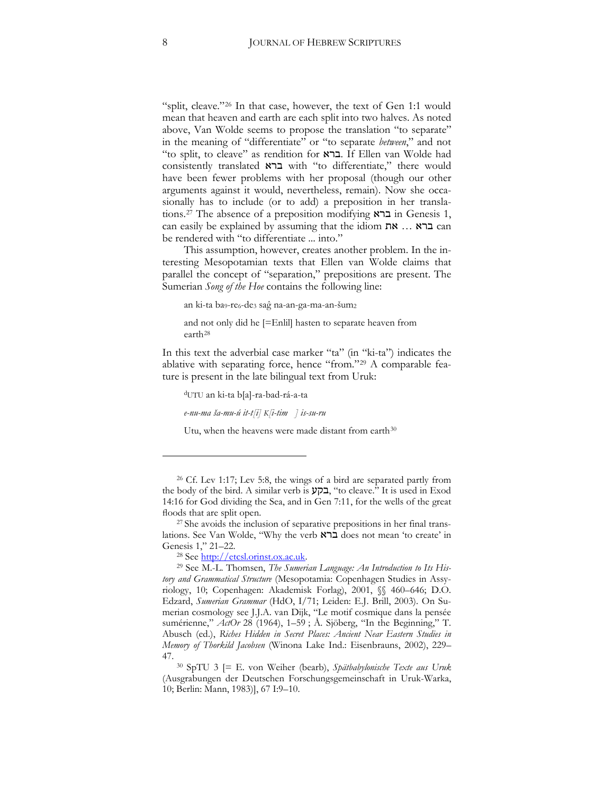"split, cleave."[26](#page-7-0) In that case, however, the text of Gen 1:1 would mean that heaven and earth are each split into two halves. As noted above, Van Wolde seems to propose the translation "to separate" in the meaning of "differentiate" or "to separate *between*," and not "to split, to cleave" as rendition for .ברא. If Ellen van Wolde had consistently translated : with "to differentiate," there would have been fewer problems with her proposal (though our other arguments against it would, nevertheless, remain). Now she occasionally has to include (or to add) a preposition in her transla-tions.<sup>[27](#page-7-1)</sup> The absence of a preposition modifying  $\overline{x}$  in Genesis 1, can easily be explained by assuming that the idiom  $\mathbb{R}$  ...  $\mathbb{R}$  can be rendered with "to differentiate ... into."

This assumption, however, creates another problem. In the interesting Mesopotamian texts that Ellen van Wolde claims that parallel the concept of "separation," prepositions are present. The Sumerian *Song of the Hoe* contains the following line:

an ki-ta ba<sub>9</sub>-re<sub>6</sub>-de<sub>3</sub> saĝ na-an-ga-ma-an-šum<sub>2</sub>

and not only did he [=Enlil] hasten to separate heaven from earth[28](#page-7-2)

In this text the adverbial case marker "ta" (in "ki-ta") indicates the ablative with separating force, hence "from."[29](#page-7-3) A comparable feature is present in the late bilingual text from Uruk:

dUTU an ki-ta b[a]-ra-bad-rá-a-ta *e-nu-ma ša-mu-ú it-t[i] K[i-tim ] is-su-ru* 

Utu, when the heavens were made distant from earth<sup>[30](#page-7-4)</sup>

<span id="page-7-0"></span><sup>&</sup>lt;sup>26</sup> Cf. Lev 1:17; Lev 5:8, the wings of a bird are separated partly from the body of the bird. A similar verb is בקע, "to cleave." It is used in Exod 14:16 for God dividing the Sea, and in Gen 7:11, for the wells of the great floods that are split open.

<span id="page-7-1"></span><sup>27</sup> She avoids the inclusion of separative prepositions in her final translations. See Van Wolde, "Why the verb ברא does not mean 'to create' in Genesis 1," 21–22.

<span id="page-7-3"></span><span id="page-7-2"></span><sup>&</sup>lt;sup>28</sup> See <u>http://etcsl.orinst.ox.ac.uk</u>.<br><sup>29</sup> See M.-L. Thomsen, *The Sumerian Language: An Introduction to Its History and Grammatical Structure* (Mesopotamia: Copenhagen Studies in Assyriology, 10; Copenhagen: Akademisk Forlag), 2001, §§ 460-646; D.O. Edzard, *Sumerian Grammar* (HdO, I/71; Leiden: E.J. Brill, 2003). On Sumerian cosmology see J.J.A. van Dijk, "Le motif cosmique dans la pensée sumérienne," *ActOr* 28 (1964), 1-59 ; Å. Sjöberg, "In the Beginning," T. Abusch (ed.), *Riches Hidden in Secret Places: Ancient Near Eastern Studies in Memory of Thorkild Jacobsen* (Winona Lake Ind.: Eisenbrauns, 2002), 229– 47.

<span id="page-7-4"></span><sup>30</sup> SpTU 3 [= E. von Weiher (bearb), *Spätbabylonische Texte aus Uruk* (Ausgrabungen der Deutschen Forschungsgemeinschaft in Uruk-Warka, 10; Berlin: Mann, 1983)], 67 I:9-10.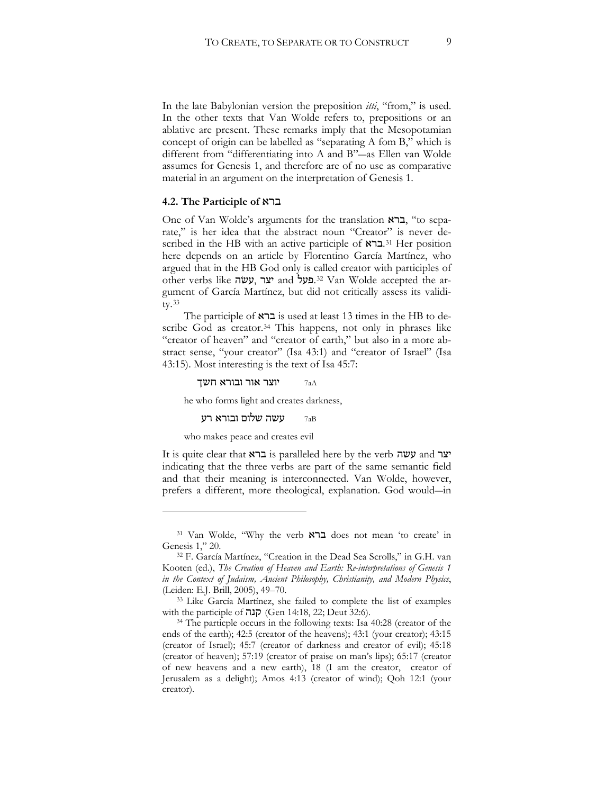In the late Babylonian version the preposition *itti*, "from," is used. In the other texts that Van Wolde refers to, prepositions or an ablative are present. These remarks imply that the Mesopotamian concept of origin can be labelled as "separating A fom B," which is different from "differentiating into A and B"-as Ellen van Wolde assumes for Genesis 1, and therefore are of no use as comparative material in an argument on the interpretation of Genesis 1.

#### **4.2. The Participle of** :

One of Van Wolde's arguments for the translation ברא, "to separate," is her idea that the abstract noun "Creator" is never described in the HB with an active participle of  $\mathbb{R}^{31}$  $\mathbb{R}^{31}$  $\mathbb{R}^{31}$  Her position here depends on an article by Florentino García Martínez, who argued that in the HB God only is called creator with participles of other verbs like יצר, עשׂה and 23.[32](#page-8-1) Van Wolde accepted the argument of García Martínez, but did not critically assess its validity.[33](#page-8-2)

The participle of  $\kappa$ ברא is used at least 13 times in the HB to de-scribe God as creator.<sup>[34](#page-8-3)</sup> This happens, not only in phrases like "creator of heaven" and "creator of earth," but also in a more abstract sense, "your creator" (Isa 43:1) and "creator of Israel" (Isa 43:15). Most interesting is the text of Isa 45:7:

יוצר אור ובורא חשך  $_{\rm 7aA}$ 

he who forms light and creates darkness,

#### עשה שלום ובורא רע  $_{\rm 7aB}$

who makes peace and creates evil

 $\overline{a}$ 

It is quite clear that  $\kappa$ יצר is paralleled here by the verb  $\kappa$  wy and  $\kappa$ indicating that the three verbs are part of the same semantic field and that their meaning is interconnected. Van Wolde, however, prefers a different, more theological, explanation. God would—in

<span id="page-8-0"></span><sup>31</sup> Van Wolde, "Why the verb ברא does not mean 'to create' in Genesis 1," 20.

<span id="page-8-1"></span><sup>32</sup> F. García Martínez, "Creation in the Dead Sea Scrolls," in G.H. van Kooten (ed.), *The Creation of Heaven and Earth: Re-interpretations of Genesis 1 in the Context of Judaism, Ancient Philosophy, Christianity, and Modern Physics*, (Leiden: E.J. Brill, 2005), 49–70.

<span id="page-8-2"></span><sup>33</sup> Like García Martínez, she failed to complete the list of examples with the participle of קנה (Gen 14:18, 22; Deut 32:6).

<span id="page-8-3"></span><sup>34</sup> The particple occurs in the following texts: Isa 40:28 (creator of the ends of the earth); 42:5 (creator of the heavens); 43:1 (your creator); 43:15 (creator of Israel); 45:7 (creator of darkness and creator of evil); 45:18 (creator of heaven); 57:19 (creator of praise on man's lips); 65:17 (creator of new heavens and a new earth), 18 (I am the creator, creator of Jerusalem as a delight); Amos 4:13 (creator of wind); Qoh 12:1 (your creator).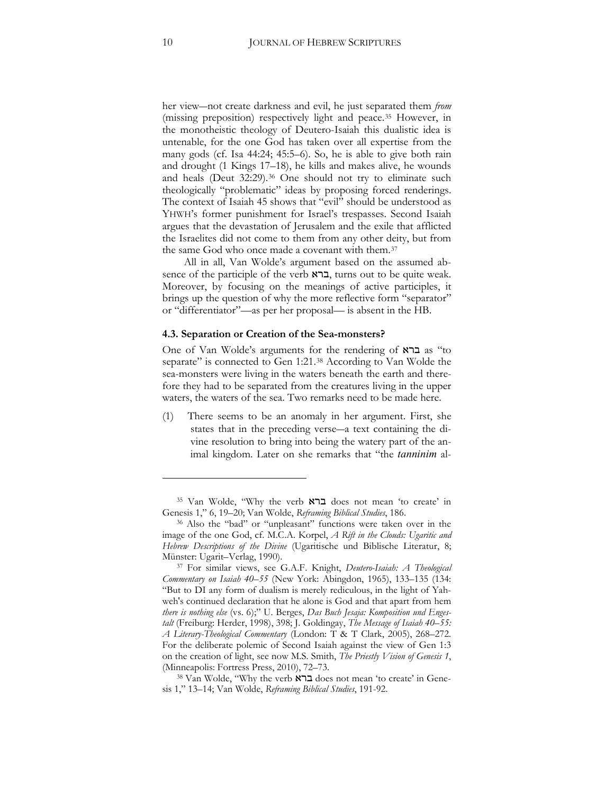her view-not create darkness and evil, he just separated them *from* (missing preposition) respectively light and peace.[35](#page-9-0) However, in the monotheistic theology of Deutero-Isaiah this dualistic idea is untenable, for the one God has taken over all expertise from the many gods (cf. Isa 44:24; 45:5–6). So, he is able to give both rain and drought (1 Kings 17–18), he kills and makes alive, he wounds and heals (Deut 32:29).<sup>[36](#page-9-1)</sup> One should not try to eliminate such theologically "problematic" ideas by proposing forced renderings. The context of Isaiah 45 shows that "evil" should be understood as YHWH's former punishment for Israel's trespasses. Second Isaiah argues that the devastation of Jerusalem and the exile that afflicted the Israelites did not come to them from any other deity, but from the same God who once made a covenant with them.[37](#page-9-2)

All in all, Van Wolde's argument based on the assumed absence of the participle of the verb  $\kappa$ ברא, turns out to be quite weak. Moreover, by focusing on the meanings of active participles, it brings up the question of why the more reflective form "separator" or "differentiator"—as per her proposal— is absent in the HB.

#### **4.3. Separation or Creation of the Sea-monsters?**

One of Van Wolde's arguments for the rendering of  $\overline{\mathsf{x}}$  as "to separate" is connected to Gen 1:21.<sup>[38](#page-9-3)</sup> According to Van Wolde the sea-monsters were living in the waters beneath the earth and therefore they had to be separated from the creatures living in the upper waters, the waters of the sea. Two remarks need to be made here.

(1) There seems to be an anomaly in her argument. First, she states that in the preceding verse—a text containing the divine resolution to bring into being the watery part of the animal kingdom. Later on she remarks that "the *tanninim* al-

<span id="page-9-0"></span><sup>35</sup> Van Wolde, "Why the verb ברא does not mean 'to create' in Genesis 1," 6, 19-20; Van Wolde, *Reframing Biblical Studies*, 186.

<span id="page-9-1"></span><sup>36</sup> Also the "bad" or "unpleasant" functions were taken over in the image of the one God, cf. M.C.A. Korpel, *A Rift in the Clouds: Ugaritic and Hebrew Descriptions of the Divine* (Ugaritische und Biblische Literatur, 8e Münster: Ugarit–Verlag, 1990).

<span id="page-9-2"></span><sup>37</sup> For similar views, see G.A.F. Knight, *Deutero-Isaiah: A Theological Commentary on Isaiah 40–55* (New York: Abingdon, 1965), 133–135 (134: "But to DI any form of dualism is merely rediculous, in the light of Yahweh's continued declaration that he alone is God and that apart from hem there is nothing else (vs. 6);" U. Berges, *Das Buch Jesaja: Komposition und Enges*talt (Freiburg: Herder, 1998), 398; J. Goldingay, *The Message of Isaiah 40–55*: *A Literary-Theological Commentary* (London: T & T Clark, 2005), 268–272. For the deliberate polemic of Second Isaiah against the view of Gen 1:3 on the creation of light, see now M.S. Smith, *The Priestly Vision of Genesis 1*, (Minneapolis: Fortress Press, 2010), 72–73.

<span id="page-9-3"></span><sup>38</sup> Van Wolde, "Why the verb ברא does not mean 'to create' in Genesis 1," 13-14; Van Wolde, *Reframing Biblical Studies*, 191-92.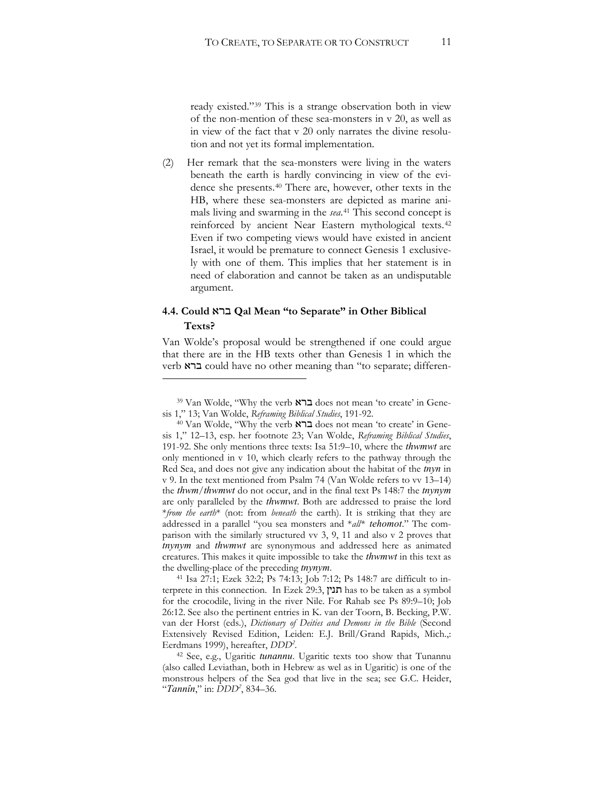ready existed."[39](#page-10-0) This is a strange observation both in view of the non-mention of these sea-monsters in v 20, as well as in view of the fact that v 20 only narrates the divine resolution and not yet its formal implementation.

(2) Her remark that the sea-monsters were living in the waters beneath the earth is hardly convincing in view of the evidence she presents.[40](#page-10-1) There are, however, other texts in the HB, where these sea-monsters are depicted as marine animals living and swarming in the *sea*.[41](#page-10-2) This second concept is reinforced by ancient Near Eastern mythological texts.[42](#page-10-3) Even if two competing views would have existed in ancient Israel, it would be premature to connect Genesis 1 exclusively with one of them. This implies that her statement is in need of elaboration and cannot be taken as an undisputable argument.

## **4.4. Could** :**Qal Mean "to Separate" in Other Biblical Texts?**

 $\overline{a}$ 

Van Wolde's proposal would be strengthened if one could argue that there are in the HB texts other than Genesis 1 in which the verb ברא could have no other meaning than "to separate; differen-

<span id="page-10-2"></span> $41$  Isa 27:1; Ezek 32:2; Ps 74:13; Job 7:12; Ps 148:7 are difficult to interprete in this connection. In Ezek 29:3, חנין has to be taken as a symbol for the crocodile, living in the river Nile. For Rahab see Ps 89:9-10; Job 26:12. See also the pertinent entries in K. van der Toorn, B. Becking, P.W. van der Horst (eds.), *Dictionary of Deities and Demons in the Bible* (Second Extensively Revised Edition, Leiden: E.J. Brill/Grand Rapids, Mich.,: Eerdmans 1999), hereafter, *DDD2 .*

<span id="page-10-3"></span><sup>42</sup> See, e.g., Ugaritic *tunannu*. Ugaritic texts too show that Tunannu (also called Leviathan, both in Hebrew as wel as in Ugaritic) is one of the monstrous helpers of the Sea god that live in the sea; see G.C. Heider, "*Tannîn*," in: *DDD2* , 834–36.

<span id="page-10-0"></span><sup>&</sup>lt;sup>39</sup> Van Wolde, "Why the verb ברא does not mean 'to create' in Genesis 1," 13; Van Wolde, *Reframing Biblical Studies*, 191-92.

<span id="page-10-1"></span><sup>&</sup>lt;sup>40</sup> Van Wolde, "Why the verb ברא does not mean 'to create' in Genesis 1," 12-13, esp. her footnote 23; Van Wolde, *Reframing Biblical Studies*, 191-92. She only mentions three texts: Isa 51:9–10, where the *thwmwt* are only mentioned in v 10, which clearly refers to the pathway through the Red Sea, and does not give any indication about the habitat of the *tnyn* in v 9. In the text mentioned from Psalm 74 (Van Wolde refers to vv 13–14) the *thwm/thwmwt* do not occur, and in the final text Ps 148:7 the *tnynym* are only paralleled by the *thwmwt*. Both are addressed to praise the lord \**from the earth*\* (not: from *beneath* the earth). It is striking that they are addressed in a parallel "you sea monsters and \**all\* tehomot*." The comparison with the similarly structured vv 3, 9, 11 and also v 2 proves that tnynym and thwmwt are synonymous and addressed here as animated creatures. This makes it quite impossible to take the *thwmwt* in this text as the dwelling-place of the preceding *tnynym*.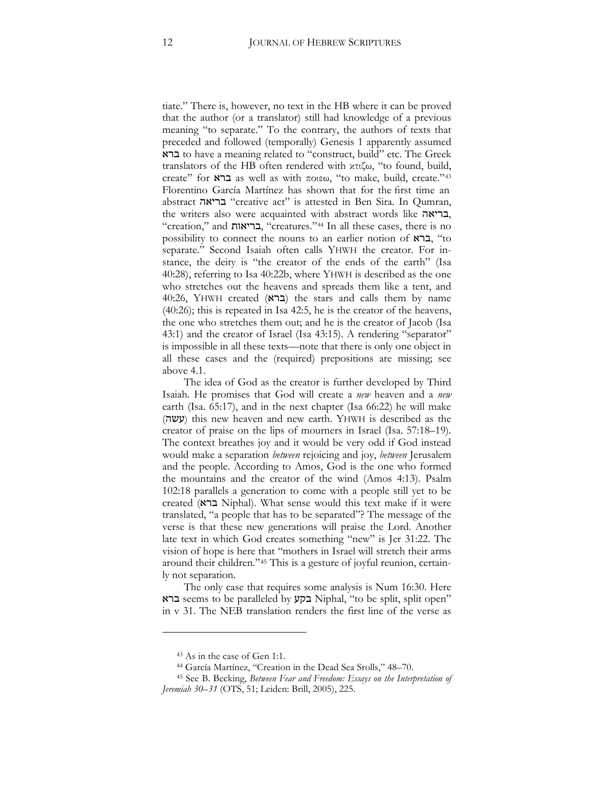tiate." There is, however, no text in the HB where it can be proved that the author (or a translator) still had knowledge of a previous meaning "to separate." To the contrary, the authors of texts that preceded and followed (temporally) Genesis 1 apparently assumed : to have a meaning related to "construct, build" etc. The Greek translators of the HB often rendered with  $x\pi\zeta\omega$ , "to found, build, create" for x ברא as well as with ποιεω, "to make, build, create."[43](#page-11-0) Florentino García Martínez has shown that for the first time an abstract בריאה "creative act" is attested in Ben Sira. In Qumran, the writers also were acquainted with abstract words like ,בריאה "creation," and בריאות, "creatures."<sup>[44](#page-11-1)</sup> In all these cases, there is no possibility to connect the nouns to an earlier notion of  $\kappa$ ברא, "to separate." Second Isaiah often calls YHWH the creator. For instance, the deity is "the creator of the ends of the earth" (Isa 40:28), referring to Isa 40:22b, where YHWH is described as the one who stretches out the heavens and spreads them like a tent, and 40:26, YHWH created  $(25)$  the stars and calls them by name  $(40:26)$ ; this is repeated in Isa 42:5, he is the creator of the heavens, the one who stretches them out; and he is the creator of Jacob (Isa 43:1) and the creator of Israel (Isa 43:15). A rendering "separator" is impossible in all these texts—note that there is only one object in all these cases and the (required) prepositions are missing; see above 4.1.

The idea of God as the creator is further developed by Third Isaiah. He promises that God will create a *new* heaven and a *new* earth (Isa. 65:17), and in the next chapter (Isa 66:22) he will make  $($ עשה) this new heaven and new earth. YHWH is described as the creator of praise on the lips of mourners in Israel (Isa. 57:18–19). The context breathes joy and it would be very odd if God instead would make a separation *between* rejoicing and joy, *between* Jerusalem and the people. According to Amos, God is the one who formed the mountains and the creator of the wind (Amos 4:13). Psalm 102:18 parallels a generation to come with a people still yet to be created (ברא Niphal). What sense would this text make if it were translated, "a people that has to be separated"? The message of the verse is that these new generations will praise the Lord. Another late text in which God creates something "new" is Jer 31:22. The vision of hope is here that "mothers in Israel will stretch their arms around their children."[45](#page-11-2) This is a gesture of joyful reunion, certainly not separation.

The only case that requires some analysis is Num 16:30. Here : seems to be paralleled by 39 Niphal, "to be split, split open" in v 31. The NEB translation renders the first line of the verse as

<sup>43</sup> As in the case of Gen 1:1.

<sup>44</sup> García Martínez, "Creation in the Dead Sea Srolls," 48–70.

<span id="page-11-2"></span><span id="page-11-1"></span><span id="page-11-0"></span><sup>45</sup> See B. Becking, *Between Fear and Freedom: Essays on the Interpretation of* Jeremiah 30–31 (OTS, 51; Leiden: Brill, 2005), 225.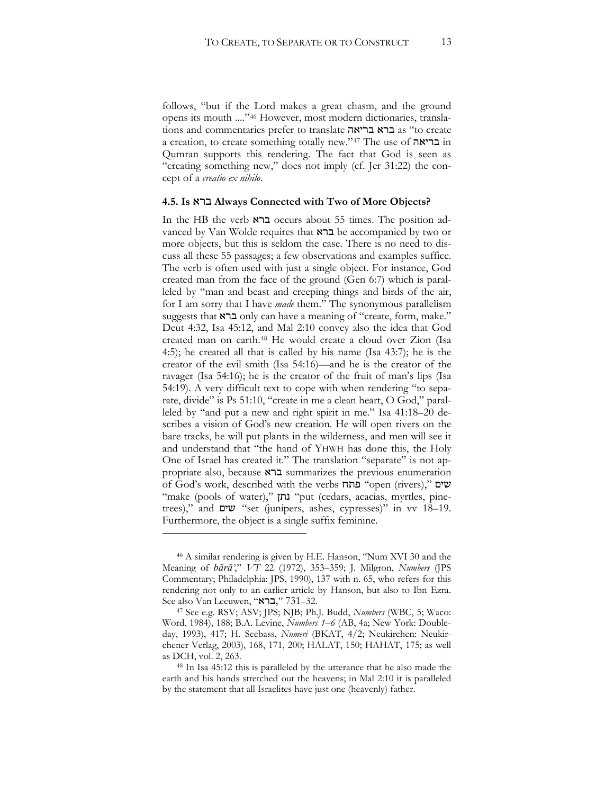follows, "but if the Lord makes a great chasm, and the ground opens its mouth ....["46](#page-12-0) However, most modern dictionaries, translations and commentaries prefer to translate ברא בריאה a creation, to create something totally new."[47](#page-12-1) The use of בריאה Qumran supports this rendering. The fact that God is seen as "creating something new," does not imply (cf. Jer 31:22) the concept of a *creatio ex nihilo*.

#### **4.5. Is** : **Always Connected with Two of More Objects?**

In the HB the verb ברא occurs about 55 times. The position advanced by Van Wolde requires that  $\kappa$   $\geq$  be accompanied by two or more objects, but this is seldom the case. There is no need to discuss all these 55 passages; a few observations and examples suffice. The verb is often used with just a single object. For instance, God created man from the face of the ground (Gen 6:7) which is paralleled by "man and beast and creeping things and birds of the air, for I am sorry that I have *made* them." The synonymous parallelism suggests that  $x \in \text{conv}$  can have a meaning of "create, form, make." Deut 4:32, Isa 45:12, and Mal 2:10 convey also the idea that God created man on earth.[48](#page-12-2) He would create a cloud over Zion (Isa 4:5); he created all that is called by his name (Isa  $43:7$ ); he is the creator of the evil smith (Isa 54:16)—and he is the creator of the ravager (Isa 54:16); he is the creator of the fruit of man's lips (Isa 54:19). A very difficult text to cope with when rendering "to separate, divide" is Ps 51:10, "create in me a clean heart, O God," paralleled by "and put a new and right spirit in me." Isa 41:18–20 describes a vision of God's new creation. He will open rivers on the bare tracks, he will put plants in the wilderness, and men will see it and understand that "the hand of YHWH has done this, the Holy One of Israel has created it." The translation "separate" is not appropriate also, because ברא summarizes the previous enumeration of God's work, described with the verbs "פתח "open (rivers)," שים "make (pools of water)," נתן "put (cedars, acacias, myrtles, pinetrees)," and  $\mathbf{w}$  "set (junipers, ashes, cypresses)" in vv 18–19. Furthermore, the object is a single suffix feminine.

<span id="page-12-0"></span><sup>46</sup> A similar rendering is given by H.E. Hanson, "Num XVI 30 and the Meaning of  $b\bar{a}r\bar{a}$ <sup>"</sup>,"  $VT$  22 (1972), 353-359; J. Milgron, *Numbers* (JPS Commentary; Philadelphia: JPS, 1990), 137 with n. 65, who refers for this rendering not only to an earlier article by Hanson, but also to Ibn Ezra. See also Van Leeuwen, "ברא", 731–32.

<span id="page-12-1"></span><sup>&</sup>lt;sup>47</sup> See e.g. RSV; ASV; JPS; NJB; Ph.J. Budd, *Numbers* (WBC, 5; Waco: Word, 1984), 188; B.A. Levine, *Numbers 1–6* (AB, 4a; New York: Doubleday, 1993), 417; H. Seebass, *Numeri* (BKAT, 4/2; Neukirchen: Neukirchener Verlag, 2003), 168, 171, 200; HALAT, 150; HAHAT, 175; as well as DCH, vol. 2, 263. 48 In Isa 45:12 this is paralleled by the utterance that he also made the

<span id="page-12-2"></span>earth and his hands stretched out the heavens; in Mal 2:10 it is paralleled by the statement that all Israelites have just one (heavenly) father.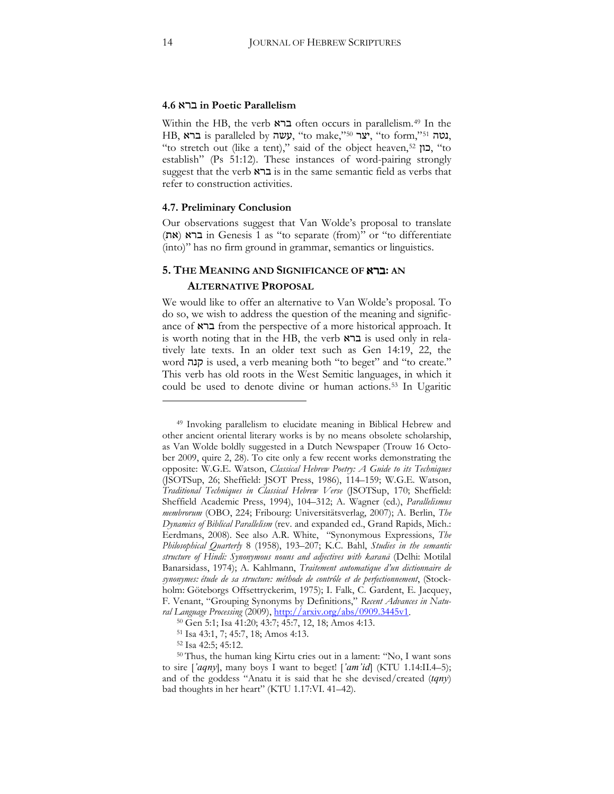#### **4.6** : **in Poetic Parallelism**

Within the HB, the verb ברא often occurs in parallelism.<sup>[49](#page-13-0)</sup> In the HB, נטה is paralleled by נאה, "to make,["50](#page-13-1) יצר, "to form,"[51](#page-13-2) . "to stretch out (like a tent)," said of the object heaven,<sup>[52](#page-13-3)</sup> "Co establish" (Ps 51:12). These instances of word-pairing strongly suggest that the verb  $\kappa$ ברא is in the same semantic field as verbs that refer to construction activities.

#### **4.7. Preliminary Conclusion**

Our observations suggest that Van Wolde's proposal to translate (את) in Genesis 1 as "to separate (from)" or "to differentiate (into)" has no firm ground in grammar, semantics or linguistics.

## **5. THE MEANING AND SIGNIFICANCE OF** :**: AN ALTERNATIVE PROPOSAL**

We would like to offer an alternative to Van Wolde's proposal. To do so, we wish to address the question of the meaning and significance of  $\kappa$ ברא from the perspective of a more historical approach. It is worth noting that in the HB, the verb  $\kappa$ ברא is used only in relatively late texts. In an older text such as Gen 14:19, 22, the word !19 is used, a verb meaning both "to beget" and "to create." This verb has old roots in the West Semitic languages, in which it could be used to denote divine or human actions[.53](#page-13-4) In Ugaritic

<span id="page-13-0"></span><sup>49</sup> Invoking parallelism to elucidate meaning in Biblical Hebrew and other ancient oriental literary works is by no means obsolete scholarship, as Van Wolde boldly suggested in a Dutch Newspaper (Trouw 16 October 2009, quire 2, 28). To cite only a few recent works demonstrating the opposite: W.G.E. Watson, *Classical Hebrew Poetry: A Guide to its Techniques* (JSOTSup, 26; Sheffield: JSOT Press, 1986), 114-159; W.G.E. Watson, *Traditional Techniques in Classical Hebrew Verse* (JSOTSup, 170; Sheffield: Sheffield Academic Press, 1994), 104-312; A. Wagner (ed.), *Parallelismus membrorum* (OBO, 224; Fribourg: Universitätsverlag, 2007); A. Berlin, *The Dynamics of Biblical Parallelism* (rev. and expanded ed., Grand Rapids, Mich.: Eerdmans, 2008). See also A.R. White, "Synonymous Expressions, *The Philosophical Quarterly 8 (1958), 193-207; K.C. Bahl, Studies in the semantic* structure of Hindi: Synonymous nouns and adjectives with karanā (Delhi: Motilal Banarsidass, 1974); A. Kahlmann, *Traitement automatique d'un dictionnaire de synonymes: étude de sa structure: méthode de contrôle et de perfectionnement*, (Stockholm: Göteborgs Offsettryckerim, 1975); I. Falk, C. Gardent, E. Jacquey, F. Venant, "Grouping Synonyms by Definitions," *Recent Advances in Natural Language Processing* (2009), [http://arxiv.org/abs/0909.3445v1.](http://arxiv.org/abs/0909.3445v1)

<sup>50</sup> Gen 5:1; Isa 41:20; 43:7; 45:7, 12, 18; Amos 4:13.

<sup>&</sup>lt;sup>51</sup> Isa 43:1, 7; 45:7, 18; Amos 4:13.<br><sup>52</sup> Isa 42:5; 45:12.

<span id="page-13-4"></span><span id="page-13-3"></span><span id="page-13-2"></span><span id="page-13-1"></span><sup>50</sup> Thus, the human king Kirtu cries out in a lament: "No, I want sons to sire ['aqny], many boys I want to beget! ['am'id] (KTU 1.14:II.4–5); and of the goddess "Anatu it is said that he she devised/created (tqny) bad thoughts in her heart" (KTU 1.17:VI. 41–42).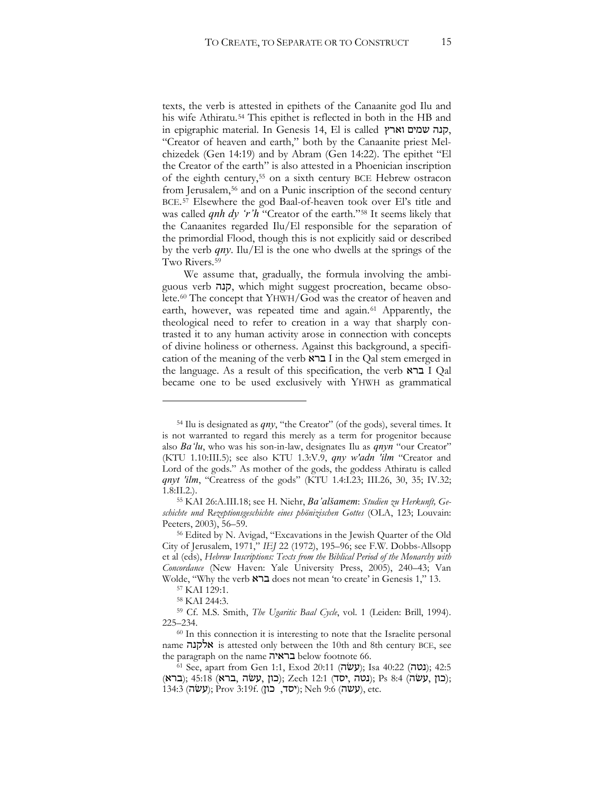texts, the verb is attested in epithets of the Canaanite god Ilu and his wife Athiratu.[54](#page-14-0) This epithet is reflected in both in the HB and in epigraphic material. In Genesis 14, El is called 70, "Creator of heaven and earth," both by the Canaanite priest Melchizedek (Gen 14:19) and by Abram (Gen 14:22). The epithet "El the Creator of the earth" is also attested in a Phoenician inscription of the eighth century,[55](#page-14-1) on a sixth century BCE Hebrew ostracon from Jerusalem,<sup>[56](#page-14-2)</sup> and on a Punic inscription of the second century BCE.[57](#page-14-3) Elsewhere the god Baal-of-heaven took over El's title and was called *qnh dy* 'r'h "Creator of the earth."<sup>[58](#page-14-4)</sup> It seems likely that the Canaanites regarded Ilu/El responsible for the separation of the primordial Flood, though this is not explicitly said or described by the verb  $qny$ . Ilu/El is the one who dwells at the springs of the Two Rivers.[59](#page-14-5)

We assume that, gradually, the formula involving the ambiguous verb !19, which might suggest procreation, became obsolete.[60](#page-14-6) The concept that YHWH/God was the creator of heaven and earth, however, was repeated time and again.<sup>[61](#page-14-7)</sup> Apparently, the theological need to refer to creation in a way that sharply contrasted it to any human activity arose in connection with concepts of divine holiness or otherness. Against this background, a specification of the meaning of the verb ברא I in the Qal stem emerged in the language. As a result of this specification, the verb  $\overline{Q}$   $I$   $Q$ al became one to be used exclusively with YHWH as grammatical

<span id="page-14-0"></span><sup>&</sup>lt;sup>54</sup> Ilu is designated as *qny*, "the Creator" (of the gods), several times. It is not warranted to regard this merely as a term for progenitor because also *Ba*<sup>*'lu*</sup>, who was his son-in-law, designates Ilu as *qnyn* "our Creator" (KTU 1.10:III.5); see also KTU 1.3:V.9, *qny w'adn 'ilm* "Creator and Lord of the gods." As mother of the gods, the goddess Athiratu is called *Anyt 'ilm*, "Creatress of the gods" (KTU 1.4:I.23; III.26, 30, 35; IV.32;

<span id="page-14-1"></span><sup>1.8:</sup>II.2.).<br><sup>55</sup> KAI 26:A.III.18; see H. Niehr, *Ba'alšamem: Studien zu Herkunft, Ge*schichte und Rezeptionsgeschichte eines phönizischen Gottes (OLA, 123; Louvain: Peeters, 2003), 56–59.

<span id="page-14-2"></span><sup>56</sup> Edited by N. Avigad, "Excavations in the Jewish Quarter of the Old City of Jerusalem, 1971," *IEJ* 22 (1972), 195-96; see F.W. Dobbs-Allsopp et al (eds), *Hebrew Inscriptions: Texts from the Biblical Period of the Monarchy with* Concordance (New Haven: Yale University Press, 2005), 240-43; Van Wolde, "Why the verb **גרא** does not mean 'to create' in Genesis 1," 13.

<sup>57</sup> KAI 129:1.

<sup>58</sup> KAI 244:3.

<span id="page-14-6"></span><span id="page-14-5"></span><span id="page-14-4"></span><span id="page-14-3"></span><sup>59</sup> Cf. M.S. Smith, *The Ugaritic Baal Cycle*, vol. 1 (Leiden: Brill, 1994). 225–234.

<sup>60</sup> In this connection it is interesting to note that the Israelite personal name  $\lambda$ לקנה is attested only between the 10th and 8th century BCE, see the paragraph on the name בראיה below footnote 66. (131 See, apart from Gen 1:1, Exod 20:11 (עשׂה); Isa 40:22 (

<span id="page-14-7"></span><sup>(</sup>כון עשׂה); 45:18 (גוז (כון, עשׂה); Zech 12:1 (נטה); Ps 8:4 (ברא);  $(134:3 \;(\texttt{WW})$ ; Prov 3:19f. (עשה); Neh 9:6 (עשה), etc.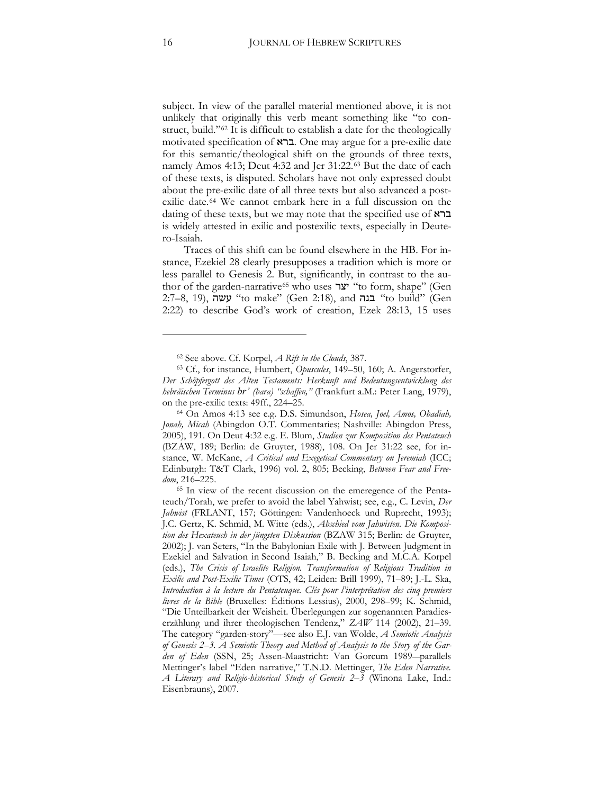subject. In view of the parallel material mentioned above, it is not unlikely that originally this verb meant something like "to construct, build."[62](#page-15-0) It is difficult to establish a date for the theologically motivated specification of **ברא**. One may argue for a pre-exilic date for this semantic/theological shift on the grounds of three texts, namely Amos 4:13; Deut 4:32 and Jer 31:22.[63](#page-15-1) But the date of each of these texts, is disputed. Scholars have not only expressed doubt about the pre-exilic date of all three texts but also advanced a postexilic date.[64](#page-15-2) We cannot embark here in a full discussion on the dating of these texts, but we may note that the specified use of  $\kappa$ בר is widely attested in exilic and postexilic texts, especially in Deutero-Isaiah.

Traces of this shift can be found elsewhere in the HB. For instance, Ezekiel 28 clearly presupposes a tradition which is more or less parallel to Genesis 2. But, significantly, in contrast to the au-thor of the garden-narrative<sup>[65](#page-15-3)</sup> who uses "צר "to form, shape" (Gen 2:7–8, 19), עשה "to make" (Gen 2:18), and "בנה "to build" (Gen 2:22) to describe God's work of creation, Ezek 28:13, 15 uses

<sup>62</sup> See above. Cf. Korpel, *A Rift in the Clouds*, 387.

<span id="page-15-1"></span><span id="page-15-0"></span><sup>&</sup>lt;sup>63</sup> Cf., for instance, Humbert, *Opuscules*, 149–50, 160; A. Angerstorfer, *Der Schöpfergott des Alten Testaments: Herkunft und Bedeutungsentwicklung des hebräischen Terminus br' (bara) "schaffen," (Frankfurt a.M.: Peter Lang, 1979),* on the pre-exilic texts: 49ff., 224–25.

<span id="page-15-2"></span><sup>64</sup> On Amos 4:13 see e.g. D.S. Simundson, *Hosea, Joel, Amos, Obadiah, Jonah, Micah* (Abingdon O.T. Commentaries; Nashville: Abingdon Press, 2005), 191. On Deut 4:32 e.g. E. Blum, *Studien zur Komposition des Pentateuch* (BZAW, 189; Berlin: de Gruyter, 1988), 108. On Jer 31:22 see, for instance, W. McKane, *A Critical and Exegetical Commentary on Jeremiah* (ICCe Edinburgh: T&T Clark, 1996) vol. 2, 805; Becking, *Between Fear and Freedom*, 216–225.

<span id="page-15-3"></span><sup>65</sup> In view of the recent discussion on the emeregence of the Pentateuch/Torah, we prefer to avoid the label Yahwist; see, e.g., C. Levin, *Der Jahwist* (FRLANT, 157; Göttingen: Vandenhoeck und Ruprecht, 1993); J.C. Gertz, K. Schmid, M. Witte (eds.), *Abschied vom Jahwisten. Die Komposi*tion des Hexateuch in der jüngsten Diskussion (BZAW 315; Berlin: de Gruyter, 2002); J. van Seters, "In the Babylonian Exile with J. Between Judgment in Ezekiel and Salvation in Second Isaiah," B. Becking and M.C.A. Korpel (eds.), *The Crisis of Israelite Religion. Transformation of Religious Tradition in Exilic and Post-Exilic Times (OTS, 42; Leiden: Brill 1999), 71–89; J.-L. Ska, Introduction à la lecture du Pentateuque. Clés pour l'interprétation des cinq premiers livres de la Bible* (Bruxelles: Éditions Lessius), 2000, 298–99; K. Schmid, "Die Unteilbarkeit der Weisheit. Überlegungen zur sogenannten Paradieserzählung und ihrer theologischen Tendenz," *ZAW* 114 (2002), 21–39. The category "garden-story"—see also E.J. van Wolde, *A Semiotic Analysis of Genesis 2–3. A Semiotic Theory and Method of Analysis to the Story of the Gar*den of Eden (SSN, 25; Assen-Maastricht: Van Gorcum 1989-parallels Mettinger's label "Eden narrative," T.N.D. Mettinger, *The Eden Narrative. A Literary and Religio-historical Study of Genesis 2–3* (Winona Lake, Ind.: Eisenbrauns), 2007.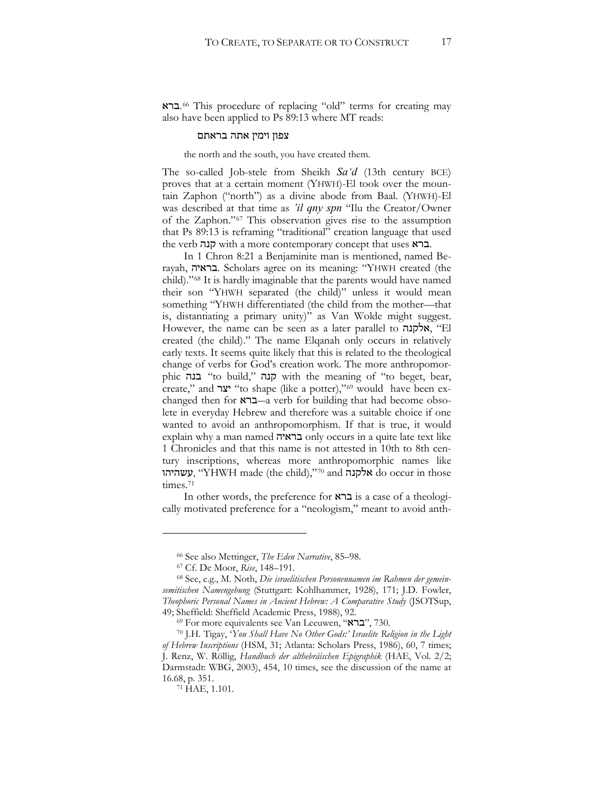:.[66](#page-16-0) This procedure of replacing "old" terms for creating may also have been applied to Ps 89:13 where MT reads:

#### צפון וימין אתה בראתם

the north and the south, you have created them.

The so-called Job-stele from Sheikh *Sa'd* (13th century BCE) proves that at a certain moment (YHWH)-El took over the mountain Zaphon ("north") as a divine abode from Baal. (YHWH)-El was described at that time as *'il qny spn* "Ilu the Creator/Owner of the Zaphon."[67](#page-16-1) This observation gives rise to the assumption that Ps 89:13 is reframing "traditional" creation language that used the verb קנה with a more contemporary concept that uses  $x$ ברא.

In 1 Chron 8:21 a Benjaminite man is mentioned, named Berayah, בראיה. Scholars agree on its meaning: "YHWH created (the child)."[68](#page-16-2) It is hardly imaginable that the parents would have named their son "YHWH separated (the child)" unless it would mean something "YHWH differentiated (the child from the mother—that is, distantiating a primary unity)" as Van Wolde might suggest. However, the name can be seen as a later parallel to "אלקנה, "El created (the child)." The name Elqanah only occurs in relatively early texts. It seems quite likely that this is related to the theological change of verbs for God's creation work. The more anthropomorphic קנה "to build," קנה with the meaning of "to beget, bear, create," and "צר "to shape (like a potter),"<sup>[69](#page-16-3)</sup> would have been exchanged then for  $x\rightarrow -a$  verb for building that had become obsolete in everyday Hebrew and therefore was a suitable choice if one wanted to avoid an anthropomorphism. If that is true, it would explain why a man named בראיה only occurs in a quite late text like 1 Chronicles and that this name is not attested in 10th to 8th century inscriptions, whereas more anthropomorphic names like עשהיהו  $\gamma$ ' ('YHWH made (the child),"[70](#page-16-4) and אלקנה do occur in those times.<sup>[71](#page-16-5)</sup>

In other words, the preference for  $\kappa$ ברא is a case of a theologically motivated preference for a "neologism," meant to avoid anth-

<sup>66</sup> See also Mettinger, *The Eden Narrative*, 85–98.

<sup>67</sup> Cf. De Moor, *Rise*, 148–191.

<span id="page-16-2"></span><span id="page-16-1"></span><span id="page-16-0"></span><sup>68</sup> See, e.g., M. Noth, *Die israelitischen Personennamen im Rahmen der gemein*semitischen Namengebung (Stuttgart: Kohlhammer, 1928), 171; J.D. Fowler, *Theophoric Personal Names in Ancient Hebrew: A Comparative Study* (JSOTSup, 49; Sheffield: Sheffield Academic Press, 1988), 92.

<sup>69</sup> For more equivalents see Van Leeuwen, "ברא", 730.

<span id="page-16-5"></span><span id="page-16-4"></span><span id="page-16-3"></span><sup>70</sup> J.H. Tigay, '*You Shall Have No Other Gods:' Israelite Religion in the Light of Hebrew Inscriptions* (HSM, 31; Atlanta: Scholars Press, 1986), 60, 7 times; J. Renz, W. Röllig, Handbuch der althebräischen Epigraphik (HAE, Vol. 2/2; Darmstadt: WBG, 2003), 454, 10 times, see the discussion of the name at

<sup>&</sup>lt;sup>71</sup> HAE, 1.101.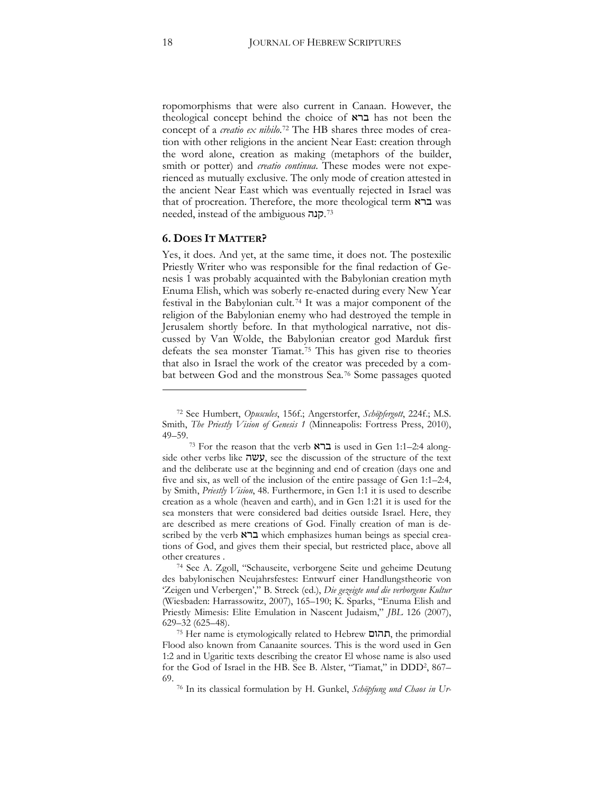ropomorphisms that were also current in Canaan. However, the theological concept behind the choice of  $\kappa$  $\geq$  has not been the concept of a *creatio ex nihilo*.[72](#page-17-0) The HB shares three modes of creation with other religions in the ancient Near East: creation through the word alone, creation as making (metaphors of the builder, smith or potter) and *creatio continua*. These modes were not experienced as mutually exclusive. The only mode of creation attested in the ancient Near East which was eventually rejected in Israel was that of procreation. Therefore, the more theological term  $\boldsymbol{\kappa}$ ברא was needed, instead of the ambiguous <sup>[73](#page-17-1)</sup>.

#### **6. DOES IT MATTER?**

Yes, it does. And yet, at the same time, it does not. The postexilic Priestly Writer who was responsible for the final redaction of Genesis 1 was probably acquainted with the Babylonian creation myth Enuma Elish, which was soberly re-enacted during every New Year festival in the Babylonian cult.[74](#page-17-2) It was a major component of the religion of the Babylonian enemy who had destroyed the temple in Jerusalem shortly before. In that mythological narrative, not discussed by Van Wolde, the Babylonian creator god Marduk first defeats the sea monster Tiamat.[75](#page-17-3) This has given rise to theories that also in Israel the work of the creator was preceded by a combat between God and the monstrous Sea.[76](#page-17-4) Some passages quoted

<span id="page-17-0"></span><sup>&</sup>lt;sup>72</sup> See Humbert, *Opuscules*, 156f.; Angerstorfer, *Schöpfergott*, 224f.; M.S. Smith, *The Priestly Vision of Genesis 1* (Minneapolis: Fortress Press, 2010), 49–59.

<span id="page-17-1"></span><sup>73</sup> For the reason that the verb  $\overline{X}$  is used in Gen 1:1–2:4 along $s$ ide other verbs like  $\pi \nu \nu$ , see the discussion of the structure of the text and the deliberate use at the beginning and end of creation (days one and five and six, as well of the inclusion of the entire passage of Gen 1:1–2:4, by Smith, *Priestly Vision*, 48. Furthermore, in Gen 1:1 it is used to describe creation as a whole (heaven and earth), and in Gen 1:21 it is used for the sea monsters that were considered bad deities outside Israel. Here, they are described as mere creations of God. Finally creation of man is described by the verb ברא which emphasizes human beings as special creations of God, and gives them their special, but restricted place, above all other creatures .

<span id="page-17-2"></span><sup>74</sup> See A. Zgoll, "Schauseite, verborgene Seite und geheime Deutung des babylonischen Neujahrsfestes: Entwurf einer Handlungstheorie von 'Zeigen und Verbergen'," B. Streck (ed.), *Die gezeigte und die verborgene Kultur* (Wiesbaden: Harrassowitz, 2007), 165-190; K. Sparks, "Enuma Elish and Priestly Mimesis: Elite Emulation in Nascent Judaism," *JBL* 126 (2007), 629–32 (625–48).

<span id="page-17-4"></span><span id="page-17-3"></span><sup>&</sup>lt;sup>75</sup> Her name is etymologically related to Hebrew תהום, the primordial Flood also known from Canaanite sources. This is the word used in Gen 1:2 and in Ugaritic texts describing the creator El whose name is also used for the God of Israel in the HB. See B. Alster, "Tiamat," in DDD2, 867– 69.

<sup>76</sup> In its classical formulation by H. Gunkel, *Schöpfung und Chaos in Ur-*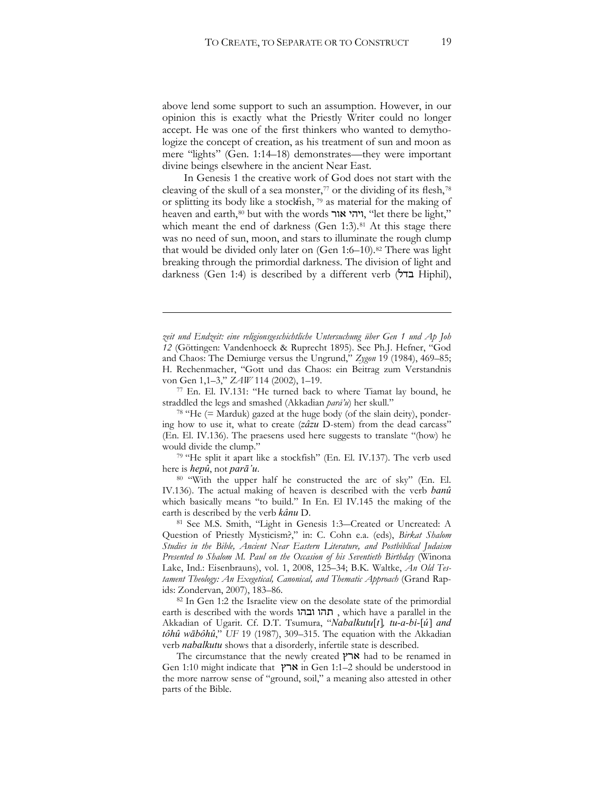above lend some support to such an assumption. However, in our opinion this is exactly what the Priestly Writer could no longer accept. He was one of the first thinkers who wanted to demythologize the concept of creation, as his treatment of sun and moon as mere "lights" (Gen. 1:14–18) demonstrates—they were important divine beings elsewhere in the ancient Near East.

In Genesis 1 the creative work of God does not start with the cleaving of the skull of a sea monster, $77$  or the dividing of its flesh,  $78$ or splitting its body like a stockfish,  $\frac{79}{12}$  $\frac{79}{12}$  $\frac{79}{12}$  as material for the making of heaven and earth,<sup>[80](#page-18-3)</sup> but with the words יוהי אור, "let there be light," which meant the end of darkness (Gen 1:3).<sup>[81](#page-18-4)</sup> At this stage there was no need of sun, moon, and stars to illuminate the rough clump that would be divided only later on (Gen 1:6–10).[82](#page-18-5) There was light breaking through the primordial darkness. The division of light and darkness (Gen 1:4) is described by a different verb  $(\forall r$  Hiphil),

<u>.</u>

<span id="page-18-0"></span>straddled the legs and smashed (Akkadian *parā'u*) her skull."

<span id="page-18-1"></span><sup>78</sup> "He (= Marduk) gazed at the huge body (of the slain deity), pondering how to use it, what to create (*zâzu* D-stem) from the dead carcass" (En. El. IV.136). The praesens used here suggests to translate "(how) he would divide the clump."

<span id="page-18-2"></span><sup>79</sup> "He split it apart like a stockfish" (En. El. IV.137). The verb used here is *hepû*, not *parā'u*.

<span id="page-18-3"></span><sup>80</sup> "With the upper half he constructed the arc of sky" (En. El. IV.136). The actual making of heaven is described with the verb *banû* which basically means "to build." In En. El IV.145 the making of the earth is described by the verb *kânu* D.

<span id="page-18-4"></span>81 See M.S. Smith, "Light in Genesis 1:3-Created or Uncreated: A Question of Priestly Mysticism?," in: C. Cohn e.a. (eds), *Birkat Shalom Studies in the Bible, Ancient Near Eastern Literature, and Postbiblical Judaism Presented to Shalom M. Paul on the Occasion of his Seventieth Birthday* (Winona Lake, Ind.: Eisenbrauns), vol. 1, 2008, 125-34; B.K. Waltke, *An Old Testament Theology: An Exegetical, Canonical, and Thematic Approach* (Grand Rapids: Zondervan, 2007), 183–86.

<span id="page-18-5"></span><sup>82</sup> In Gen 1:2 the Israelite view on the desolate state of the primordial earth is described with the words , תהו ובהו , which have a parallel in the Akkadian of Ugarit. Cf. D.T. Tsumura, "Nabalkutu[t], tu-a-bi-[ú] and tôhû wābôhû," UF 19 (1987), 309-315. The equation with the Akkadian verb *nabalkutu* shows that a disorderly, infertile state is described.

The circumstance that the newly created  $\gamma \times \mathbb{R}$  had to be renamed in Gen 1:10 might indicate that ארץ in Gen 1:1–2 should be understood in the more narrow sense of "ground, soil," a meaning also attested in other parts of the Bible.

*zeit und Endzeit: eine religionsgeschichtliche Untersuchung über Gen 1 und Ap Joh 12* (Göttingen: Vandenhoeck & Ruprecht 1895). See Ph.J. Hefner, "God and Chaos: The Demiurge versus the Ungrund," Zygon 19 (1984), 469-85; H. Rechenmacher, "Gott und das Chaos: ein Beitrag zum Verstandnis von Gen 1,1–3," *ZAW* 114 (2002), 1–19.<br><sup>77</sup> En. El. IV.131: "He turned back to where Tiamat lay bound, he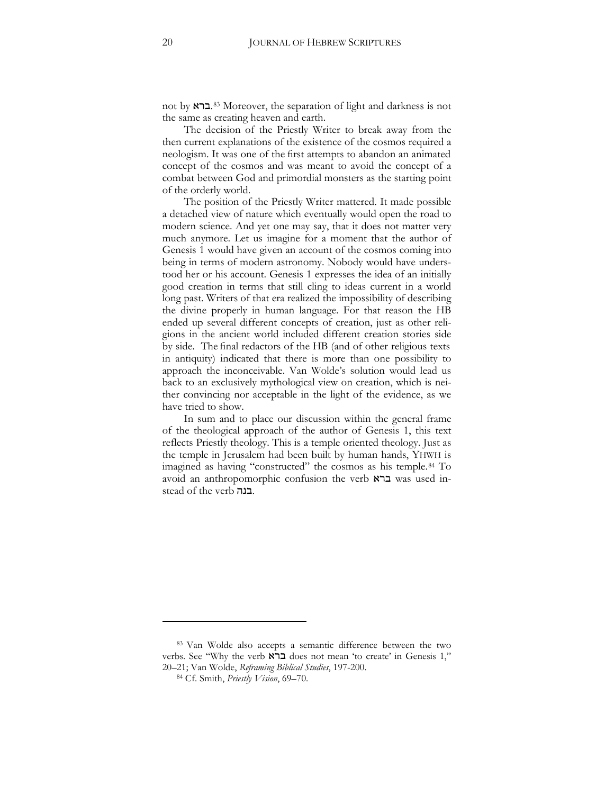not by ברא.<sup>[83](#page-19-0)</sup> Moreover, the separation of light and darkness is not the same as creating heaven and earth.

The decision of the Priestly Writer to break away from the then current explanations of the existence of the cosmos required a neologism. It was one of the first attempts to abandon an animated concept of the cosmos and was meant to avoid the concept of a combat between God and primordial monsters as the starting point of the orderly world.

The position of the Priestly Writer mattered. It made possible a detached view of nature which eventually would open the road to modern science. And yet one may say, that it does not matter very much anymore. Let us imagine for a moment that the author of Genesis 1 would have given an account of the cosmos coming into being in terms of modern astronomy. Nobody would have understood her or his account. Genesis 1 expresses the idea of an initially good creation in terms that still cling to ideas current in a world long past. Writers of that era realized the impossibility of describing the divine properly in human language. For that reason the HB ended up several different concepts of creation, just as other religions in the ancient world included different creation stories side by side. The final redactors of the HB (and of other religious texts in antiquity) indicated that there is more than one possibility to approach the inconceivable. Van Wolde's solution would lead us back to an exclusively mythological view on creation, which is neither convincing nor acceptable in the light of the evidence, as we have tried to show.

In sum and to place our discussion within the general frame of the theological approach of the author of Genesis 1, this text reflects Priestly theology. This is a temple oriented theology. Just as the temple in Jerusalem had been built by human hands, YHWH is imagined as having "constructed" the cosmos as his temple.[84](#page-19-1) To avoid an anthropomorphic confusion the verb  $\kappa$ ברא used instead of the verb .בנה.

<span id="page-19-1"></span><span id="page-19-0"></span><sup>83</sup> Van Wolde also accepts a semantic difference between the two verbs. See "Why the verb **גרא** does not mean 'to create' in Genesis 1," 20-21; Van Wolde, *Reframing Biblical Studies*, 197-200.

<sup>84</sup> Cf. Smith, *Priestly Vision*, 69–70.